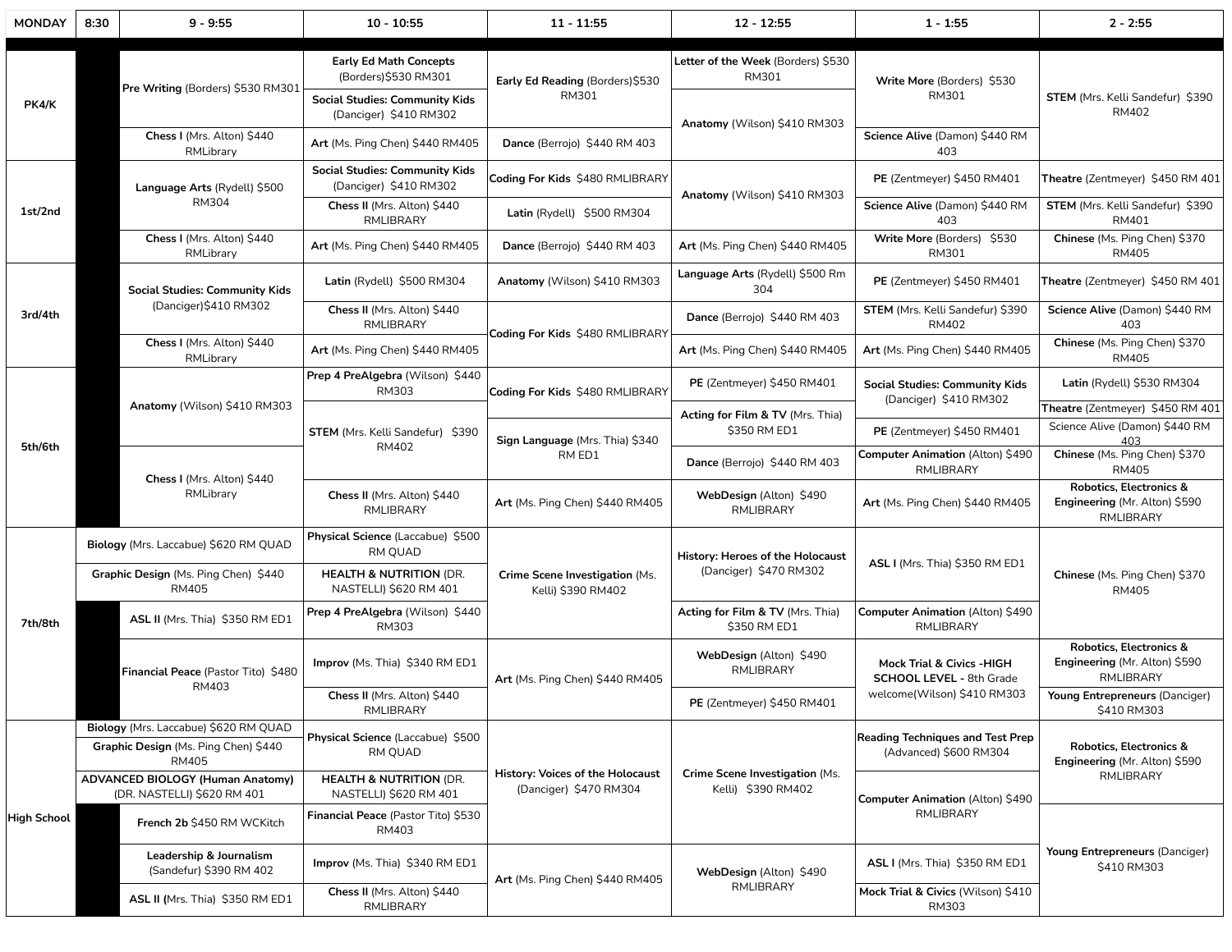| <b>MONDAY</b> | 8:30                                                           | $9 - 9:55$                                                                                                                             | $10 - 10:55$                                                  | $11 - 11:55$                                                      | $12 - 12:55$                                               | $1 - 1:55$                                                               | $2 - 2:55$                                                                       |
|---------------|----------------------------------------------------------------|----------------------------------------------------------------------------------------------------------------------------------------|---------------------------------------------------------------|-------------------------------------------------------------------|------------------------------------------------------------|--------------------------------------------------------------------------|----------------------------------------------------------------------------------|
| PK4/K         | Pre Writing (Borders) \$530 RM301                              |                                                                                                                                        | <b>Early Ed Math Concepts</b><br>(Borders)\$530 RM301         | Early Ed Reading (Borders)\$530<br>RM301                          | Letter of the Week (Borders) \$530<br>RM301                | Write More (Borders) \$530<br>RM301                                      |                                                                                  |
|               |                                                                | <b>Social Studies: Community Kids</b><br>(Danciger) \$410 RM302                                                                        |                                                               | Anatomy (Wilson) \$410 RM303                                      |                                                            | STEM (Mrs. Kelli Sandefur) \$390<br>RM402                                |                                                                                  |
|               |                                                                | Chess I (Mrs. Alton) \$440<br>RMLibrary                                                                                                | Art (Ms. Ping Chen) \$440 RM405                               | Dance (Berrojo) \$440 RM 403                                      |                                                            | Science Alive (Damon) \$440 RM<br>403                                    |                                                                                  |
| 1st/2nd       | Language Arts (Rydell) \$500<br><b>RM304</b>                   | <b>Social Studies: Community Kids</b><br>(Danciger) \$410 RM302                                                                        | Coding For Kids \$480 RMLIBRARY<br>Latin (Rydell) \$500 RM304 | Anatomy (Wilson) \$410 RM303                                      | PE (Zentmeyer) \$450 RM401                                 | Theatre (Zentmeyer) \$450 RM 401                                         |                                                                                  |
|               |                                                                | Chess II (Mrs. Alton) \$440<br><b>RMLIBRARY</b>                                                                                        |                                                               |                                                                   | Science Alive (Damon) \$440 RM<br>403                      | STEM (Mrs. Kelli Sandefur) \$390<br>RM401                                |                                                                                  |
|               |                                                                | Chess I (Mrs. Alton) \$440<br>RMLibrary                                                                                                | Art (Ms. Ping Chen) \$440 RM405                               | Dance (Berrojo) \$440 RM 403                                      | Art (Ms. Ping Chen) \$440 RM405                            | Write More (Borders) \$530<br>RM301                                      | Chinese (Ms. Ping Chen) \$370<br><b>RM405</b>                                    |
| 3rd/4th       | <b>Social Studies: Community Kids</b><br>(Danciger)\$410 RM302 |                                                                                                                                        | Latin (Rydell) \$500 RM304                                    | Anatomy (Wilson) \$410 RM303                                      | Language Arts (Rydell) \$500 Rm<br>304                     | PE (Zentmeyer) \$450 RM401                                               | Theatre (Zentmeyer) \$450 RM 401                                                 |
|               |                                                                | Chess II (Mrs. Alton) \$440<br><b>RMLIBRARY</b>                                                                                        |                                                               | Dance (Berrojo) \$440 RM 403                                      | STEM (Mrs. Kelli Sandefur) \$390<br>RM402                  | Science Alive (Damon) \$440 RM<br>403                                    |                                                                                  |
|               |                                                                | Chess I (Mrs. Alton) \$440<br>RMLibrary                                                                                                | Art (Ms. Ping Chen) \$440 RM405                               | Coding For Kids \$480 RMLIBRARY                                   | Art (Ms. Ping Chen) \$440 RM405                            | Art (Ms. Ping Chen) \$440 RM405                                          | Chinese (Ms. Ping Chen) \$370<br>RM405                                           |
| 5th/6th       | Anatomy (Wilson) \$410 RM303                                   |                                                                                                                                        | Prep 4 PreAlgebra (Wilson) \$440<br>RM303                     | Coding For Kids \$480 RMLIBRARY                                   | PE (Zentmeyer) \$450 RM401                                 | <b>Social Studies: Community Kids</b><br>(Danciger) \$410 RM302          | Latin (Rydell) \$530 RM304                                                       |
|               |                                                                |                                                                                                                                        |                                                               | Acting for Film & TV (Mrs. Thia)<br>\$350 RM ED1                  |                                                            | Theatre (Zentmeyer) \$450 RM 401<br>Science Alive (Damon) \$440 RM       |                                                                                  |
|               |                                                                |                                                                                                                                        | <b>STEM</b> (Mrs. Kelli Sandefur) \$390<br>RM402              | Sign Language (Mrs. Thia) \$340<br>RM ED1                         |                                                            | PE (Zentmeyer) \$450 RM401<br>Computer Animation (Alton) \$490           | 403<br>Chinese (Ms. Ping Chen) \$370                                             |
|               |                                                                | Chess I (Mrs. Alton) \$440                                                                                                             |                                                               |                                                                   | Dance (Berrojo) \$440 RM 403                               | RMLIBRARY                                                                | <b>RM405</b>                                                                     |
|               | RMLibrary                                                      | Chess II (Mrs. Alton) \$440<br><b>RMLIBRARY</b>                                                                                        | Art (Ms. Ping Chen) \$440 RM405                               | WebDesign (Alton) \$490<br><b>RMLIBRARY</b>                       | Art (Ms. Ping Chen) \$440 RM405                            | Robotics, Electronics &<br>Engineering (Mr. Alton) \$590<br>RMLIBRARY    |                                                                                  |
| 7th/8th       |                                                                | Biology (Mrs. Laccabue) \$620 RM QUAD                                                                                                  | Physical Science (Laccabue) \$500<br>RM QUAD                  |                                                                   | History: Heroes of the Holocaust<br>(Danciger) \$470 RM302 | ASL I (Mrs. Thia) \$350 RM ED1                                           | Chinese (Ms. Ping Chen) \$370<br>RM405                                           |
|               |                                                                | Graphic Design (Ms. Ping Chen) \$440<br><b>RM405</b>                                                                                   | <b>HEALTH &amp; NUTRITION (DR.</b><br>NASTELLI) \$620 RM 401  | Crime Scene Investigation (Ms.<br>Kelli) \$390 RM402              |                                                            |                                                                          |                                                                                  |
|               |                                                                | ASL II (Mrs. Thia) \$350 RM ED1                                                                                                        | Prep 4 PreAlgebra (Wilson) \$440<br>RM303                     |                                                                   | Acting for Film & TV (Mrs. Thia)<br>\$350 RM ED1           | Computer Animation (Alton) \$490<br>RMLIBRARY                            |                                                                                  |
|               | Financial Peace (Pastor Tito) \$480<br>RM403                   |                                                                                                                                        | Improv (Ms. Thia) \$340 RM ED1                                | Art (Ms. Ping Chen) \$440 RM405                                   | WebDesign (Alton) \$490<br>RMLIBRARY                       | <b>Mock Trial &amp; Civics - HIGH</b><br><b>SCHOOL LEVEL - 8th Grade</b> | <b>Robotics, Electronics &amp;</b><br>Engineering (Mr. Alton) \$590<br>RMLIBRARY |
|               |                                                                | Chess II (Mrs. Alton) \$440<br><b>RMLIBRARY</b>                                                                                        |                                                               | PE (Zentmeyer) \$450 RM401                                        | welcome(Wilson) \$410 RM303                                | Young Entrepreneurs (Danciger)<br>\$410 RM303                            |                                                                                  |
| High School   |                                                                | Biology (Mrs. Laccabue) \$620 RM QUAD<br>Graphic Design (Ms. Ping Chen) \$440<br><b>RM405</b>                                          | Physical Science (Laccabue) \$500<br>RM QUAD                  |                                                                   |                                                            | <b>Reading Techniques and Test Prep</b><br>(Advanced) \$600 RM304        | Robotics, Electronics &<br>Engineering (Mr. Alton) \$590                         |
|               |                                                                | <b>ADVANCED BIOLOGY (Human Anatomy)</b><br><b>HEALTH &amp; NUTRITION (DR.</b><br>(DR. NASTELLI) \$620 RM 401<br>NASTELLI) \$620 RM 401 |                                                               | <b>History: Voices of the Holocaust</b><br>(Danciger) \$470 RM304 | Crime Scene Investigation (Ms.<br>Kelli) \$390 RM402       | Computer Animation (Alton) \$490                                         | RMLIBRARY                                                                        |
|               |                                                                | French 2b \$450 RM WCKitch                                                                                                             | Financial Peace (Pastor Tito) \$530<br>RM403                  |                                                                   |                                                            | RMLIBRARY                                                                | Young Entrepreneurs (Danciger)<br>\$410 RM303                                    |
|               |                                                                | Leadership & Journalism<br>(Sandefur) \$390 RM 402<br>ASL II (Mrs. Thia) \$350 RM ED1                                                  | Improv (Ms. Thia) \$340 RM ED1                                | Art (Ms. Ping Chen) \$440 RM405                                   | WebDesign (Alton) \$490<br>RMLIBRARY                       | ASL I (Mrs. Thia) \$350 RM ED1                                           |                                                                                  |
|               |                                                                |                                                                                                                                        | Chess II (Mrs. Alton) \$440<br>RMLIBRARY                      |                                                                   |                                                            | Mock Trial & Civics (Wilson) \$410<br>RM303                              |                                                                                  |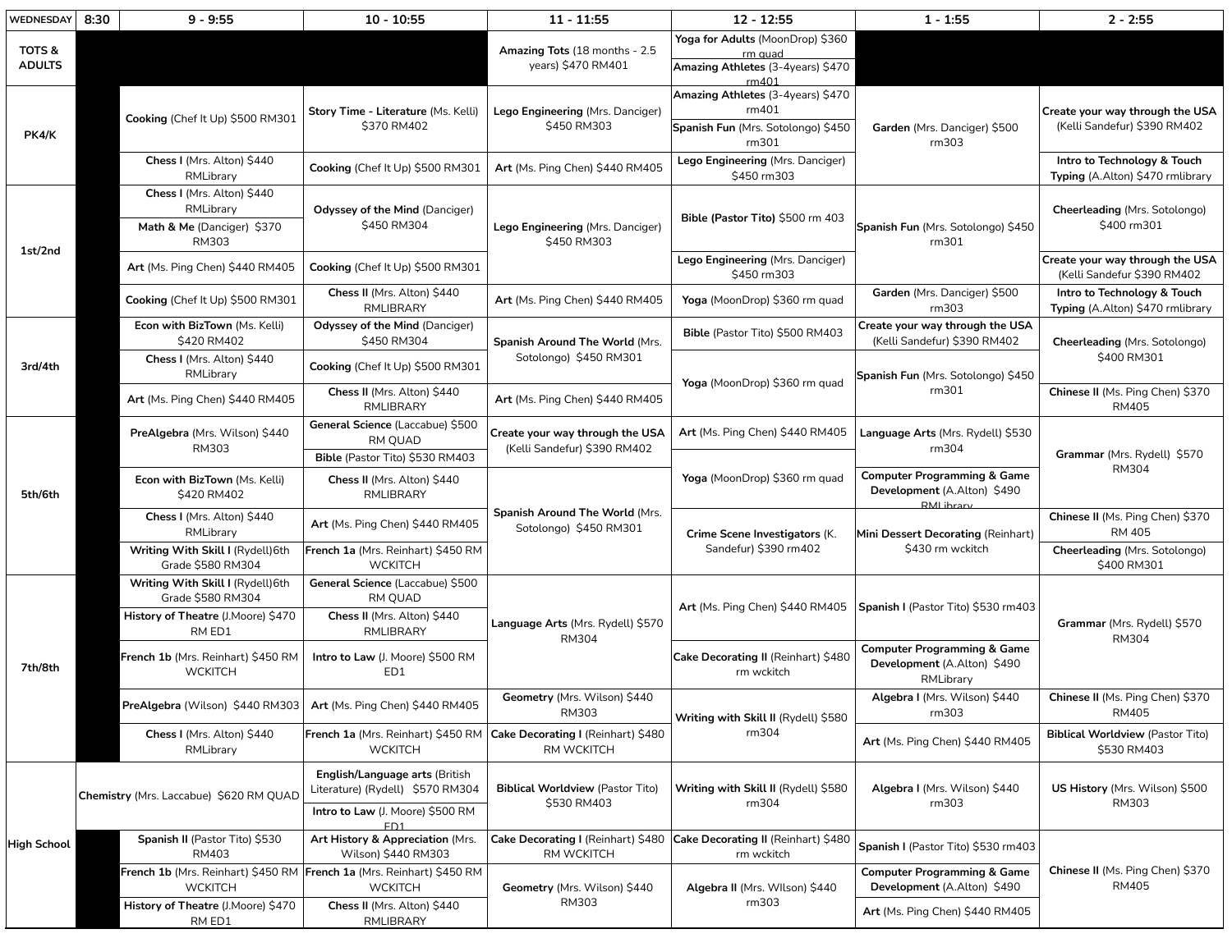| WEDNESDAY               | 8:30                                                                                      | $9 - 9:55$                                                        | $10 - 10:55$                                                                              | $11 - 11:55$                                                                                | $12 - 12:55$                                                                              | $1 - 1:55$                                                                          | $2 - 2:55$                                                      |
|-------------------------|-------------------------------------------------------------------------------------------|-------------------------------------------------------------------|-------------------------------------------------------------------------------------------|---------------------------------------------------------------------------------------------|-------------------------------------------------------------------------------------------|-------------------------------------------------------------------------------------|-----------------------------------------------------------------|
| TOTS &<br><b>ADULTS</b> |                                                                                           |                                                                   |                                                                                           | Amazing Tots (18 months - 2.5<br>years) \$470 RM401                                         | Yoga for Adults (MoonDrop) \$360<br>rm quad<br>Amazing Athletes (3-4years) \$470<br>rm401 |                                                                                     |                                                                 |
| PK4/K                   |                                                                                           | Cooking (Chef It Up) \$500 RM301                                  | Story Time - Literature (Ms. Kelli)<br>\$370 RM402                                        | Lego Engineering (Mrs. Danciger)<br>\$450 RM303                                             | Amazing Athletes (3-4years) \$470<br>rm401<br>Spanish Fun (Mrs. Sotolongo) \$450          | Garden (Mrs. Danciger) \$500                                                        | Create your way through the USA<br>(Kelli Sandefur) \$390 RM402 |
|                         |                                                                                           | Chess I (Mrs. Alton) \$440<br>RMLibrary                           | Cooking (Chef It Up) \$500 RM301                                                          | Art (Ms. Ping Chen) \$440 RM405                                                             | rm301<br>Lego Engineering (Mrs. Danciger)<br>\$450 rm303                                  | rm303                                                                               | Intro to Technology & Touch<br>Typing (A.Alton) \$470 rmlibrary |
| 1st/2nd                 |                                                                                           | Chess I (Mrs. Alton) \$440<br>RMLibrary                           | <b>Odyssey of the Mind (Danciger)</b>                                                     |                                                                                             |                                                                                           |                                                                                     | Cheerleading (Mrs. Sotolongo)                                   |
|                         | Math & Me (Danciger) \$370<br>RM303                                                       |                                                                   | \$450 RM304                                                                               | Lego Engineering (Mrs. Danciger)<br>\$450 RM303                                             | Bible (Pastor Tito) \$500 rm 403                                                          | Spanish Fun (Mrs. Sotolongo) \$450<br>rm301                                         | \$400 rm301                                                     |
|                         |                                                                                           | Art (Ms. Ping Chen) \$440 RM405                                   | Cooking (Chef It Up) \$500 RM301                                                          |                                                                                             | Lego Engineering (Mrs. Danciger)<br>\$450 rm303                                           |                                                                                     | Create your way through the USA<br>(Kelli Sandefur \$390 RM402  |
|                         |                                                                                           | Cooking (Chef It Up) \$500 RM301                                  | Chess II (Mrs. Alton) \$440<br><b>RMLIBRARY</b>                                           | Art (Ms. Ping Chen) \$440 RM405                                                             | Yoga (MoonDrop) \$360 rm quad                                                             | Garden (Mrs. Danciger) \$500<br>rm303                                               | Intro to Technology & Touch<br>Typing (A.Alton) \$470 rmlibrary |
| 3rd/4th                 |                                                                                           | Econ with BizTown (Ms. Kelli)<br>\$420 RM402                      | <b>Odyssey of the Mind (Danciger)</b><br>\$450 RM304                                      | Spanish Around The World (Mrs.<br>Sotolongo) \$450 RM301<br>Art (Ms. Ping Chen) \$440 RM405 | Bible (Pastor Tito) \$500 RM403                                                           | Create your way through the USA<br>(Kelli Sandefur) \$390 RM402                     | Cheerleading (Mrs. Sotolongo)                                   |
|                         |                                                                                           | Chess I (Mrs. Alton) \$440<br>RMLibrary                           | Cooking (Chef It Up) \$500 RM301                                                          |                                                                                             | Yoga (MoonDrop) \$360 rm quad                                                             | Spanish Fun (Mrs. Sotolongo) \$450<br>rm301                                         | \$400 RM301                                                     |
|                         |                                                                                           | Art (Ms. Ping Chen) \$440 RM405                                   | Chess II (Mrs. Alton) \$440<br><b>RMLIBRARY</b>                                           |                                                                                             |                                                                                           |                                                                                     | Chinese II (Ms. Ping Chen) \$370<br>RM405                       |
| 5th/6th                 |                                                                                           | PreAlgebra (Mrs. Wilson) \$440<br>RM303                           | General Science (Laccabue) \$500<br>RM QUAD                                               | Create your way through the USA<br>(Kelli Sandefur) \$390 RM402                             | Art (Ms. Ping Chen) \$440 RM405                                                           | Language Arts (Mrs. Rydell) \$530<br>rm304                                          | Grammar (Mrs. Rydell) \$570                                     |
|                         |                                                                                           | Econ with BizTown (Ms. Kelli)<br>\$420 RM402                      | Bible (Pastor Tito) \$530 RM403<br>Chess II (Mrs. Alton) \$440<br>RMLIBRARY               |                                                                                             | Yoga (MoonDrop) \$360 rm quad                                                             | <b>Computer Programming &amp; Game</b><br>Development (A.Alton) \$490<br>RMI ihrary | RM304                                                           |
|                         |                                                                                           | Chess I (Mrs. Alton) \$440<br>RMLibrary                           | Art (Ms. Ping Chen) \$440 RM405                                                           | Spanish Around The World (Mrs.<br>Sotolongo) \$450 RM301                                    | Crime Scene Investigators (K.<br>Sandefur) \$390 rm402                                    | Mini Dessert Decorating (Reinhart)<br>\$430 rm wckitch                              | Chinese II (Ms. Ping Chen) \$370<br>RM 405                      |
|                         |                                                                                           | Writing With Skill I (Rydell) 6th<br>Grade \$580 RM304            | French 1a (Mrs. Reinhart) \$450 RM<br><b>WCKITCH</b>                                      |                                                                                             |                                                                                           |                                                                                     | Cheerleading (Mrs. Sotolongo)<br>\$400 RM301                    |
|                         |                                                                                           | Writing With Skill I (Rydell) 6th<br>Grade \$580 RM304            | General Science (Laccabue) \$500<br>RM QUAD                                               | Language Arts (Mrs. Rydell) \$570<br>RM304                                                  |                                                                                           | Art (Ms. Ping Chen) \$440 RM405   Spanish I (Pastor Tito) \$530 rm403               | Grammar (Mrs. Rydell) \$570<br>RM304                            |
| 7th/8th                 |                                                                                           | History of Theatre (J.Moore) \$470<br>RM ED1                      | Chess II (Mrs. Alton) \$440<br><b>RMLIBRARY</b>                                           |                                                                                             |                                                                                           |                                                                                     |                                                                 |
|                         | French 1b (Mrs. Reinhart) \$450 RM<br><b>WCKITCH</b>                                      |                                                                   | Intro to Law (J. Moore) \$500 RM<br>ED1                                                   |                                                                                             | Cake Decorating II (Reinhart) \$480<br>rm wckitch                                         | <b>Computer Programming &amp; Game</b><br>Development (A.Alton) \$490<br>RMLibrary  |                                                                 |
|                         |                                                                                           | PreAlgebra (Wilson) \$440 RM303   Art (Ms. Ping Chen) \$440 RM405 |                                                                                           | Geometry (Mrs. Wilson) \$440<br>RM303<br>RM WCKITCH                                         | Writing with Skill II (Rydell) \$580<br>rm304                                             | Algebra I (Mrs. Wilson) \$440<br>rm303                                              | Chinese II (Ms. Ping Chen) \$370<br>RM405                       |
|                         |                                                                                           | Chess I (Mrs. Alton) \$440<br>RMLibrary                           | French 1a (Mrs. Reinhart) \$450 RM   Cake Decorating I (Reinhart) \$480<br><b>WCKITCH</b> |                                                                                             |                                                                                           | Art (Ms. Ping Chen) \$440 RM405                                                     | <b>Biblical Worldview (Pastor Tito)</b><br>\$530 RM403          |
| High School             |                                                                                           | Chemistry (Mrs. Laccabue) \$620 RM QUAD                           | English/Language arts (British<br>Literature) (Rydell) \$570 RM304                        | <b>Biblical Worldview (Pastor Tito)</b>                                                     | Writing with Skill II (Rydell) \$580                                                      | Algebra I (Mrs. Wilson) \$440                                                       | US History (Mrs. Wilson) \$500                                  |
|                         |                                                                                           |                                                                   | Intro to Law (J. Moore) \$500 RM<br>ED <sub>1</sub>                                       | \$530 RM403                                                                                 | rm304                                                                                     | rm303                                                                               | RM303                                                           |
|                         |                                                                                           | Spanish II (Pastor Tito) \$530<br>RM403                           | Art History & Appreciation (Mrs.<br>Wilson) \$440 RM303                                   | Cake Decorating I (Reinhart) \$480 Cake Decorating II (Reinhart) \$480<br>RM WCKITCH        | rm wckitch                                                                                | Spanish I (Pastor Tito) \$530 rm403                                                 |                                                                 |
|                         | French 1b (Mrs. Reinhart) \$450 RM   French 1a (Mrs. Reinhart) \$450 RM<br><b>WCKITCH</b> | <b>WCKITCH</b>                                                    | Geometry (Mrs. Wilson) \$440                                                              | Algebra II (Mrs. Wilson) \$440                                                              | <b>Computer Programming &amp; Game</b><br>Development (A.Alton) \$490                     | Chinese II (Ms. Ping Chen) \$370<br>RM405                                           |                                                                 |
|                         |                                                                                           | History of Theatre (J.Moore) \$470<br>RM ED1                      | Chess II (Mrs. Alton) \$440<br>RMLIBRARY                                                  | RM303                                                                                       | rm303                                                                                     | Art (Ms. Ping Chen) \$440 RM405                                                     |                                                                 |